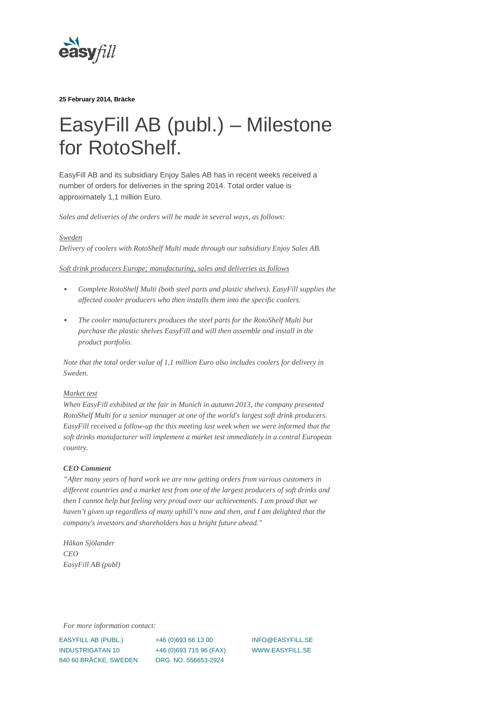

**25 February 2014, Bräcke**

## EasyFill AB (publ.) – Milestone for RotoShelf.

EasyFill AB and its subsidiary Enjoy Sales AB has in recent weeks received a number of orders for deliveries in the spring 2014. Total order value is approximately 1,1 million Euro.

*Sales and deliveries of the orders will be made in several ways, as follows:*

*Sweden*

*Delivery of coolers with RotoShelf Multi made through our subsidiary Enjoy Sales AB.*

*Soft drink producers Europe; manufacturing, sales and deliveries as follows*

- *Complete RotoShelf Multi (both steel parts and plastic shelves). EasyFill supplies the affected cooler producers who then installs them into the specific coolers.*
- *The cooler manufacturers produces the steel parts for the RotoShelf Multi but purchase the plastic shelves EasyFill and will then assemble and install in the product portfolio.*

*Note that the total order value of 1,1 million Euro also includes coolers for delivery in Sweden.*

## *Market test*

*When EasyFill exhibited at the fair in Munich in autumn 2013, the company presented RotoShelf Multi for a senior manager at one of the world's largest soft drink producers. EasyFill received a follow-up the this meeting last week when we were informed that the soft drinks manufacturer will implement a market test immediately in a central European country.*

## *CEO Comment*

*"After many years of hard work we are now getting orders from various customers in different countries and a market test from one of the largest producers of soft drinks and then I cannot help but feeling very proud over our achievements. I am proud that we haven't given up regardless of many uphill's now and then, and I am delighted that the company's investors and shareholders has a bright future ahead."*

*Håkan Sjölander CEO EasyFill AB (publ)*

*For more information contact:*

EASYFILL AB (PUBL.) INDUSTRIGATAN 10 840 60 BRÄCKE, SWEDEN

+46 (0)693 66 13 00 +46 (0)693 715 96 (FAX) ORG. NO. 556653-2924

INFO@EASYFILL.SE WWW.EASYFILL.SE